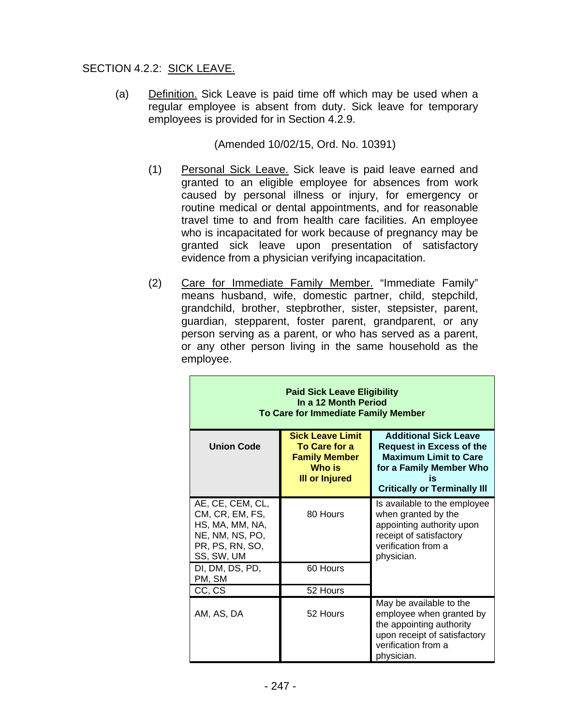# SECTION 4.2.2: SICK LEAVE.

(a) Definition. Sick Leave is paid time off which may be used when a regular employee is absent from duty. Sick leave for temporary employees is provided for in Section 4.2.9.

(Amended 10/02/15, Ord. No. 10391)

- (1) Personal Sick Leave. Sick leave is paid leave earned and granted to an eligible employee for absences from work caused by personal illness or injury, for emergency or routine medical or dental appointments, and for reasonable travel time to and from health care facilities. An employee who is incapacitated for work because of pregnancy may be granted sick leave upon presentation of satisfactory evidence from a physician verifying incapacitation.
- (2) Care for Immediate Family Member. "Immediate Family" means husband, wife, domestic partner, child, stepchild, grandchild, brother, stepbrother, sister, stepsister, parent, guardian, stepparent, foster parent, grandparent, or any person serving as a parent, or who has served as a parent, or any other person living in the same household as the employee.

| <b>Paid Sick Leave Eligibility</b><br>In a 12 Month Period<br>To Care for Immediate Family Member          |                                                                                                            |                                                                                                                                                                         |
|------------------------------------------------------------------------------------------------------------|------------------------------------------------------------------------------------------------------------|-------------------------------------------------------------------------------------------------------------------------------------------------------------------------|
| <b>Union Code</b>                                                                                          | <b>Sick Leave Limit</b><br><b>To Care for a</b><br><b>Family Member</b><br>Who is<br><b>III or Injured</b> | <b>Additional Sick Leave</b><br><b>Request in Excess of the</b><br><b>Maximum Limit to Care</b><br>for a Family Member Who<br>is<br><b>Critically or Terminally III</b> |
| AE, CE, CEM, CL,<br>CM, CR, EM, FS,<br>HS, MA, MM, NA,<br>NE, NM, NS, PO,<br>PR, PS, RN, SO,<br>SS, SW, UM | 80 Hours                                                                                                   | Is available to the employee<br>when granted by the<br>appointing authority upon<br>receipt of satisfactory<br>verification from a<br>physician.                        |
| DI, DM, DS, PD,<br>PM, SM                                                                                  | 60 Hours                                                                                                   |                                                                                                                                                                         |
| CC, CS                                                                                                     | 52 Hours                                                                                                   |                                                                                                                                                                         |
| AM, AS, DA                                                                                                 | 52 Hours                                                                                                   | May be available to the<br>employee when granted by<br>the appointing authority<br>upon receipt of satisfactory<br>verification from a<br>physician.                    |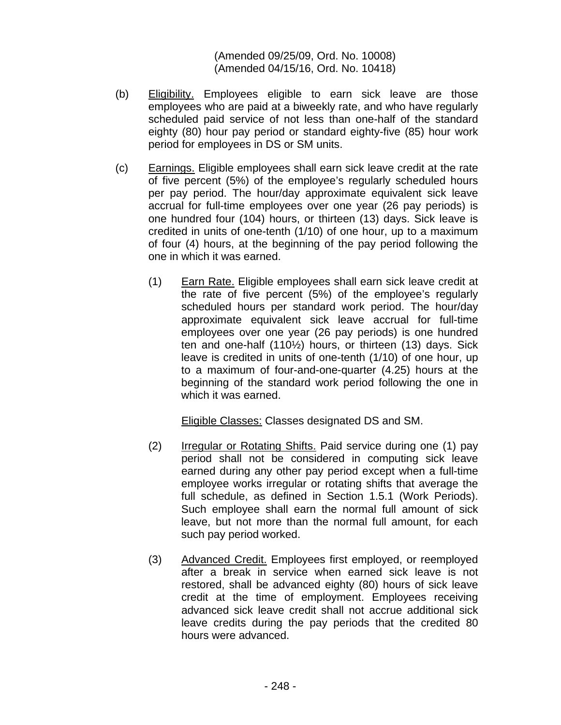(Amended 09/25/09, Ord. No. 10008) (Amended 04/15/16, Ord. No. 10418)

- (b) Eligibility. Employees eligible to earn sick leave are those employees who are paid at a biweekly rate, and who have regularly scheduled paid service of not less than one-half of the standard eighty (80) hour pay period or standard eighty-five (85) hour work period for employees in DS or SM units.
- (c) Earnings. Eligible employees shall earn sick leave credit at the rate of five percent (5%) of the employee's regularly scheduled hours per pay period. The hour/day approximate equivalent sick leave accrual for full-time employees over one year (26 pay periods) is one hundred four (104) hours, or thirteen (13) days. Sick leave is credited in units of one-tenth (1/10) of one hour, up to a maximum of four (4) hours, at the beginning of the pay period following the one in which it was earned.
	- (1) Earn Rate. Eligible employees shall earn sick leave credit at the rate of five percent (5%) of the employee's regularly scheduled hours per standard work period. The hour/day approximate equivalent sick leave accrual for full-time employees over one year (26 pay periods) is one hundred ten and one-half (110½) hours, or thirteen (13) days. Sick leave is credited in units of one-tenth (1/10) of one hour, up to a maximum of four-and-one-quarter (4.25) hours at the beginning of the standard work period following the one in which it was earned.

Eligible Classes: Classes designated DS and SM.

- (2) Irregular or Rotating Shifts. Paid service during one (1) pay period shall not be considered in computing sick leave earned during any other pay period except when a full-time employee works irregular or rotating shifts that average the full schedule, as defined in Section 1.5.1 (Work Periods). Such employee shall earn the normal full amount of sick leave, but not more than the normal full amount, for each such pay period worked.
- (3) Advanced Credit. Employees first employed, or reemployed after a break in service when earned sick leave is not restored, shall be advanced eighty (80) hours of sick leave credit at the time of employment. Employees receiving advanced sick leave credit shall not accrue additional sick leave credits during the pay periods that the credited 80 hours were advanced.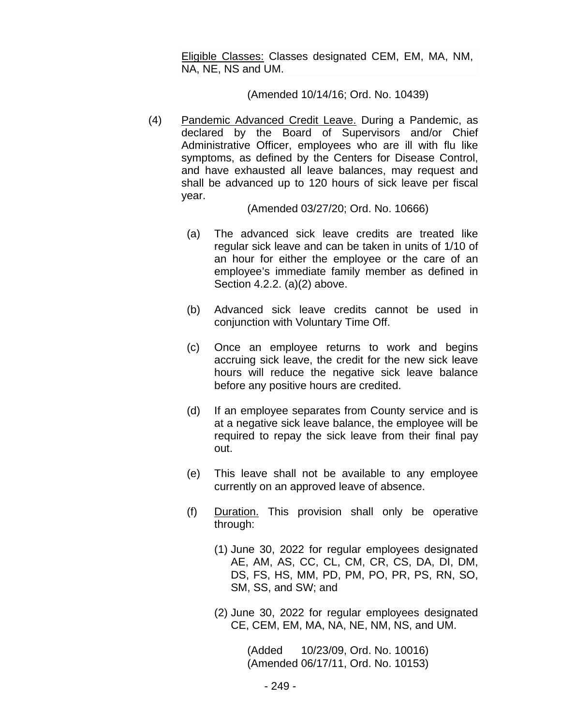Eligible Classes: Classes designated CEM, EM, MA, NM, NA, NE, NS and UM.

#### (Amended 10/14/16; Ord. No. 10439)

(4) Pandemic Advanced Credit Leave. During a Pandemic, as declared by the Board of Supervisors and/or Chief Administrative Officer, employees who are ill with flu like symptoms, as defined by the Centers for Disease Control, and have exhausted all leave balances, may request and shall be advanced up to 120 hours of sick leave per fiscal year.

(Amended 03/27/20; Ord. No. 10666)

- (a) The advanced sick leave credits are treated like regular sick leave and can be taken in units of 1/10 of an hour for either the employee or the care of an employee's immediate family member as defined in Section 4.2.2. (a)(2) above.
- (b) Advanced sick leave credits cannot be used in conjunction with Voluntary Time Off.
- (c) Once an employee returns to work and begins accruing sick leave, the credit for the new sick leave hours will reduce the negative sick leave balance before any positive hours are credited.
- (d) If an employee separates from County service and is at a negative sick leave balance, the employee will be required to repay the sick leave from their final pay out.
- (e) This leave shall not be available to any employee currently on an approved leave of absence.
- (f) Duration. This provision shall only be operative through:
	- (1) June 30, 2022 for regular employees designated AE, AM, AS, CC, CL, CM, CR, CS, DA, DI, DM, DS, FS, HS, MM, PD, PM, PO, PR, PS, RN, SO, SM, SS, and SW; and
	- (2) June 30, 2022 for regular employees designated CE, CEM, EM, MA, NA, NE, NM, NS, and UM.

(Added 10/23/09, Ord. No. 10016) (Amended 06/17/11, Ord. No. 10153)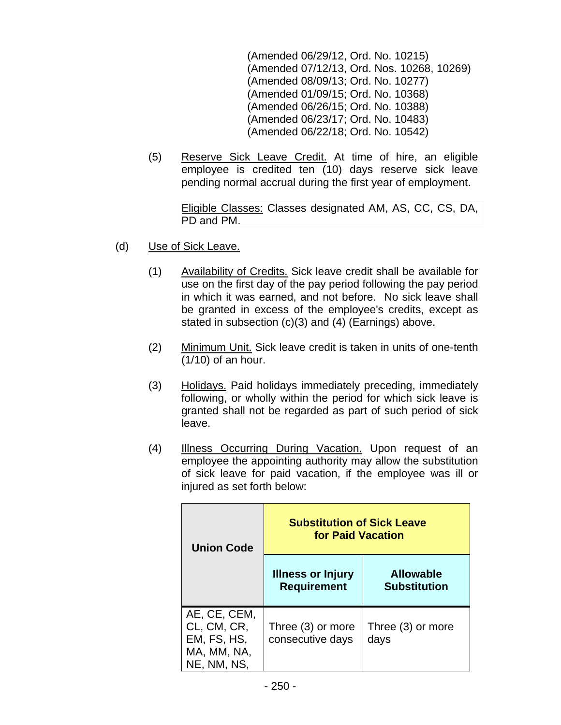(Amended 06/29/12, Ord. No. 10215) (Amended 07/12/13, Ord. Nos. 10268, 10269) (Amended 08/09/13; Ord. No. 10277) (Amended 01/09/15; Ord. No. 10368) (Amended 06/26/15; Ord. No. 10388) (Amended 06/23/17; Ord. No. 10483) (Amended 06/22/18; Ord. No. 10542)

(5) Reserve Sick Leave Credit. At time of hire, an eligible employee is credited ten (10) days reserve sick leave pending normal accrual during the first year of employment.

> Eligible Classes: Classes designated AM, AS, CC, CS, DA, PD and PM.

- (d) Use of Sick Leave.
	- (1) Availability of Credits. Sick leave credit shall be available for use on the first day of the pay period following the pay period in which it was earned, and not before. No sick leave shall be granted in excess of the employee's credits, except as stated in subsection (c)(3) and (4) (Earnings) above.
	- (2) Minimum Unit. Sick leave credit is taken in units of one-tenth (1/10) of an hour.
	- (3) Holidays. Paid holidays immediately preceding, immediately following, or wholly within the period for which sick leave is granted shall not be regarded as part of such period of sick leave.
	- (4) Illness Occurring During Vacation. Upon request of an employee the appointing authority may allow the substitution of sick leave for paid vacation, if the employee was ill or injured as set forth below:

| <b>Union Code</b>                                                        | <b>Substitution of Sick Leave</b><br>for Paid Vacation |                                         |
|--------------------------------------------------------------------------|--------------------------------------------------------|-----------------------------------------|
|                                                                          | <b>Illness or Injury</b><br><b>Requirement</b>         | <b>Allowable</b><br><b>Substitution</b> |
| AE, CE, CEM,<br>CL, CM, CR,<br>EM, FS, HS,<br>MA, MM, NA,<br>NE, NM, NS, | Three (3) or more<br>consecutive days                  | Three (3) or more<br>days               |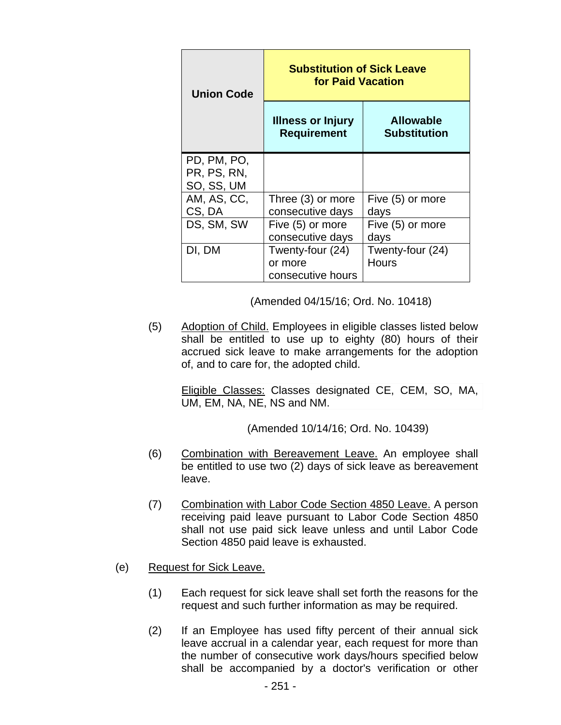| <b>Union Code</b>                        | <b>Substitution of Sick Leave</b><br><b>for Paid Vacation</b> |                                         |
|------------------------------------------|---------------------------------------------------------------|-----------------------------------------|
|                                          | <b>Illness or Injury</b><br><b>Requirement</b>                | <b>Allowable</b><br><b>Substitution</b> |
| PD, PM, PO,<br>PR, PS, RN,<br>SO, SS, UM |                                                               |                                         |
| AM, AS, CC,<br>CS, DA                    | Three (3) or more<br>consecutive days                         | Five (5) or more<br>days                |
| DS, SM, SW                               | Five (5) or more<br>consecutive days                          | Five (5) or more<br>days                |
| DI, DM                                   | Twenty-four (24)<br>or more<br>consecutive hours              | Twenty-four (24)<br><b>Hours</b>        |

(Amended 04/15/16; Ord. No. 10418)

(5) Adoption of Child. Employees in eligible classes listed below shall be entitled to use up to eighty (80) hours of their accrued sick leave to make arrangements for the adoption of, and to care for, the adopted child.

> Eligible Classes: Classes designated CE, CEM, SO, MA, UM, EM, NA, NE, NS and NM.

> > (Amended 10/14/16; Ord. No. 10439)

- (6) Combination with Bereavement Leave. An employee shall be entitled to use two (2) days of sick leave as bereavement leave.
- (7) Combination with Labor Code Section 4850 Leave. A person receiving paid leave pursuant to Labor Code Section 4850 shall not use paid sick leave unless and until Labor Code Section 4850 paid leave is exhausted.
- (e) Request for Sick Leave.
	- (1) Each request for sick leave shall set forth the reasons for the request and such further information as may be required.
	- (2) If an Employee has used fifty percent of their annual sick leave accrual in a calendar year, each request for more than the number of consecutive work days/hours specified below shall be accompanied by a doctor's verification or other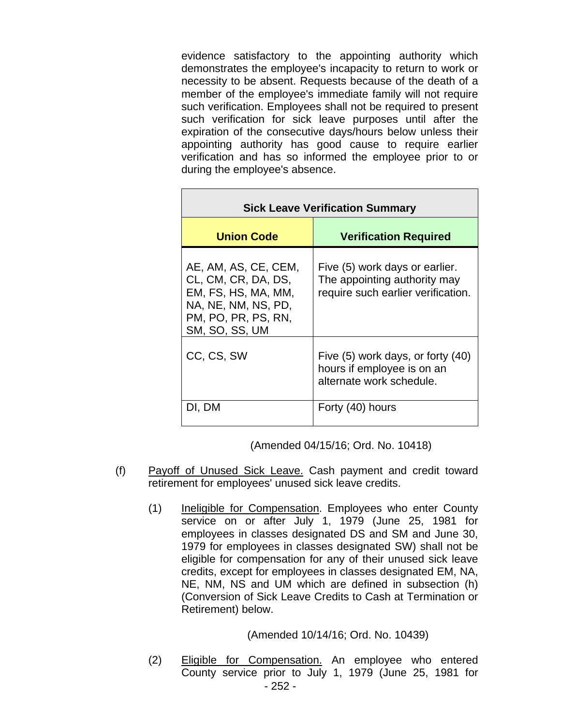evidence satisfactory to the appointing authority which demonstrates the employee's incapacity to return to work or necessity to be absent. Requests because of the death of a member of the employee's immediate family will not require such verification. Employees shall not be required to present such verification for sick leave purposes until after the expiration of the consecutive days/hours below unless their appointing authority has good cause to require earlier verification and has so informed the employee prior to or during the employee's absence.

| <b>Sick Leave Verification Summary</b>                                                                                             |                                                                                                      |
|------------------------------------------------------------------------------------------------------------------------------------|------------------------------------------------------------------------------------------------------|
| <b>Union Code</b>                                                                                                                  | <b>Verification Required</b>                                                                         |
| AE, AM, AS, CE, CEM,<br>CL, CM, CR, DA, DS,<br>EM, FS, HS, MA, MM,<br>NA, NE, NM, NS, PD,<br>PM, PO, PR, PS, RN,<br>SM, SO, SS, UM | Five (5) work days or earlier.<br>The appointing authority may<br>require such earlier verification. |
| CC, CS, SW                                                                                                                         | Five (5) work days, or forty (40)<br>hours if employee is on an<br>alternate work schedule.          |
| DI, DM                                                                                                                             | Forty (40) hours                                                                                     |

(Amended 04/15/16; Ord. No. 10418)

- (f) Payoff of Unused Sick Leave. Cash payment and credit toward retirement for employees' unused sick leave credits.
	- (1) Ineligible for Compensation. Employees who enter County service on or after July 1, 1979 (June 25, 1981 for employees in classes designated DS and SM and June 30, 1979 for employees in classes designated SW) shall not be eligible for compensation for any of their unused sick leave credits, except for employees in classes designated EM, NA, NE, NM, NS and UM which are defined in subsection (h) (Conversion of Sick Leave Credits to Cash at Termination or Retirement) below.

### (Amended 10/14/16; Ord. No. 10439)

- 252 - (2) Eligible for Compensation. An employee who entered County service prior to July 1, 1979 (June 25, 1981 for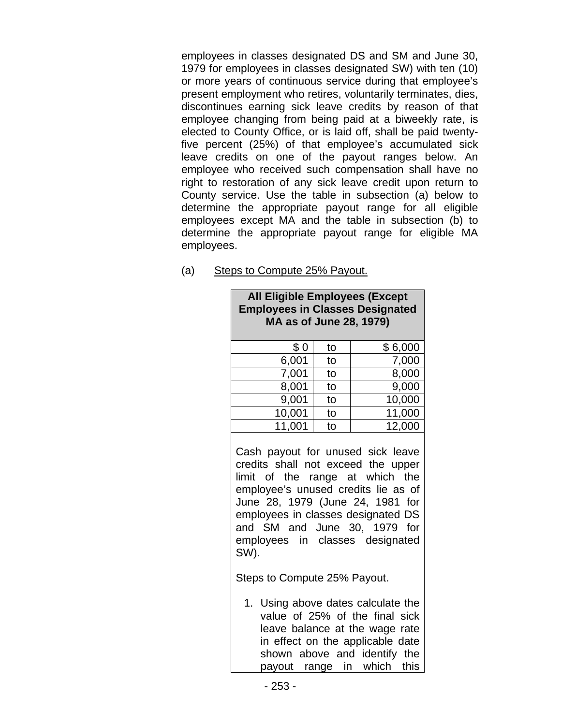employees in classes designated DS and SM and June 30, 1979 for employees in classes designated SW) with ten (10) or more years of continuous service during that employee's present employment who retires, voluntarily terminates, dies, discontinues earning sick leave credits by reason of that employee changing from being paid at a biweekly rate, is elected to County Office, or is laid off, shall be paid twentyfive percent (25%) of that employee's accumulated sick leave credits on one of the payout ranges below. An employee who received such compensation shall have no right to restoration of any sick leave credit upon return to County service. Use the table in subsection (a) below to determine the appropriate payout range for all eligible employees except MA and the table in subsection (b) to determine the appropriate payout range for eligible MA employees.

| <b>All Eligible Employees (Except</b>                                                                                                                                                                                                                             |    |         |
|-------------------------------------------------------------------------------------------------------------------------------------------------------------------------------------------------------------------------------------------------------------------|----|---------|
| <b>Employees in Classes Designated</b>                                                                                                                                                                                                                            |    |         |
| MA as of June 28, 1979)                                                                                                                                                                                                                                           |    |         |
|                                                                                                                                                                                                                                                                   |    |         |
| \$0                                                                                                                                                                                                                                                               | to | \$6,000 |
| 6,001                                                                                                                                                                                                                                                             | to | 7,000   |
| 7,001                                                                                                                                                                                                                                                             | to | 8,000   |
| 8,001                                                                                                                                                                                                                                                             | to | 9,000   |
| 9,001                                                                                                                                                                                                                                                             | to | 10,000  |
| 10,001                                                                                                                                                                                                                                                            | to | 11,000  |
| 11,001                                                                                                                                                                                                                                                            | to | 12,000  |
| credits shall not exceed the upper<br>limit of the range at which the<br>employee's unused credits lie as of<br>June 28, 1979 (June 24, 1981 for<br>employees in classes designated DS<br>and SM and June 30, 1979 for<br>employees in classes designated<br>SW). |    |         |
| Steps to Compute 25% Payout.                                                                                                                                                                                                                                      |    |         |
| 1. Using above dates calculate the<br>value of 25% of the final sick<br>leave balance at the wage rate<br>in effect on the applicable date<br>shown above and identify the<br>payout range in which<br>this                                                       |    |         |

(a) Steps to Compute 25% Payout.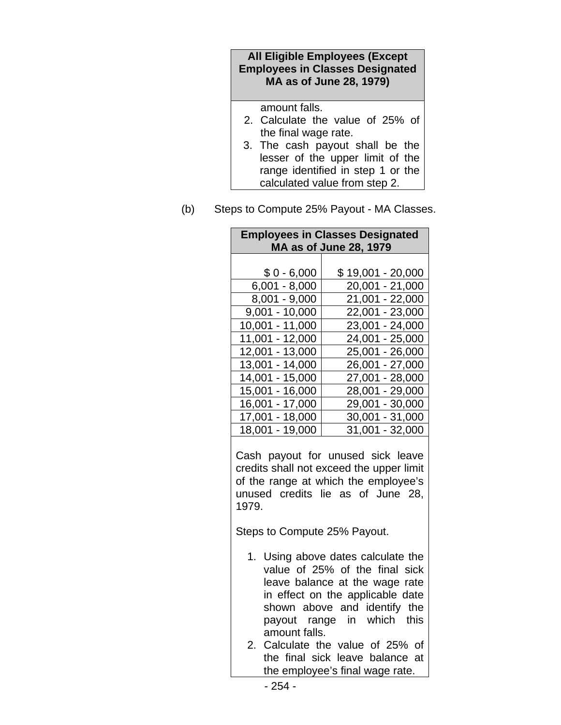### **All Eligible Employees (Except Employees in Classes Designated MA as of June 28, 1979)**

amount falls.

- 2. Calculate the value of 25% of the final wage rate.
- 3. The cash payout shall be the lesser of the upper limit of the range identified in step 1 or the calculated value from step 2.
- (b) Steps to Compute 25% Payout MA Classes.

| <b>Employees in Classes Designated</b><br><b>MA as of June 28, 1979</b>                                                                                                                                     |                                                                                                                                                                                                                                                                                                              |  |
|-------------------------------------------------------------------------------------------------------------------------------------------------------------------------------------------------------------|--------------------------------------------------------------------------------------------------------------------------------------------------------------------------------------------------------------------------------------------------------------------------------------------------------------|--|
| $$0 - 6,000$<br>$6,001 - 8,000$<br>8,001 - 9,000<br>$9,001 - 10,000$<br>$\frac{10,001 - 11,000}{\cdots}$<br>11,001 - 12,000<br>12,001 - 13,000<br>13,001 - 14,000<br>$14,001 - 15,000$<br>$15,001 - 16,000$ | \$19,001 - 20,000<br>20,001 - 21,000<br>21,001 - 22,000<br>$22,001 - 23,000$<br>$23,001 - 24,000$<br>24,001 - 25,000<br>25,001 - 26,000<br>26,001 - 27,000<br>$27,001 - 28,000$<br>28,001 - 29,000                                                                                                           |  |
| $16,001 - 17,000$<br>$17,001 - 18,000$<br>18,001 - 19,000                                                                                                                                                   | $29,001 - 30,000$<br>$\overline{30,001}$ - 31,000<br>31,001 - 32,000                                                                                                                                                                                                                                         |  |
| 1979.                                                                                                                                                                                                       | Cash payout for unused sick leave<br>credits shall not exceed the upper limit<br>of the range at which the employee's<br>unused credits lie as of June 28,                                                                                                                                                   |  |
| Steps to Compute 25% Payout.                                                                                                                                                                                |                                                                                                                                                                                                                                                                                                              |  |
| 1.<br>amount falls.<br>2.                                                                                                                                                                                   | Using above dates calculate the<br>value of 25% of the final sick<br>leave balance at the wage rate<br>in effect on the applicable date<br>shown above and identify the<br>payout range in which this<br>Calculate the value of 25% of<br>the final sick leave balance at<br>the employee's final wage rate. |  |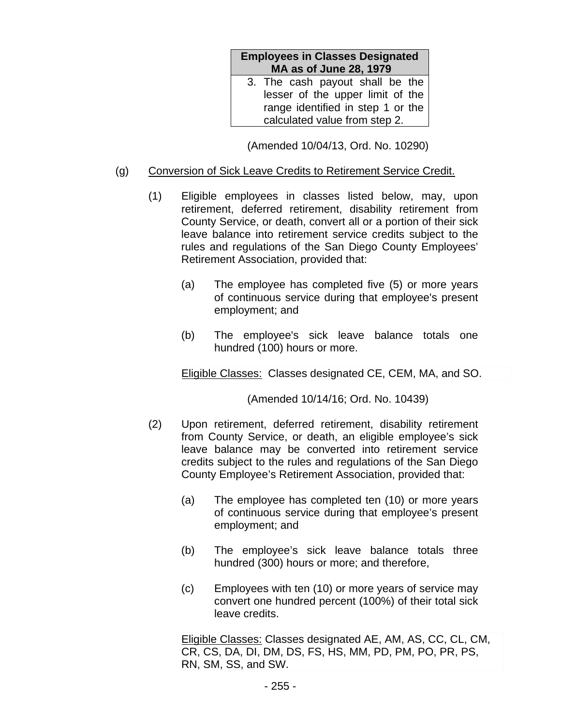| <b>Employees in Classes Designated</b><br><b>MA as of June 28, 1979</b> |  |
|-------------------------------------------------------------------------|--|
| 3. The cash payout shall be the                                         |  |
| lesser of the upper limit of the                                        |  |
| range identified in step 1 or the                                       |  |
| calculated value from step 2.                                           |  |

(Amended 10/04/13, Ord. No. 10290)

## (g) Conversion of Sick Leave Credits to Retirement Service Credit.

- (1) Eligible employees in classes listed below, may, upon retirement, deferred retirement, disability retirement from County Service, or death, convert all or a portion of their sick leave balance into retirement service credits subject to the rules and regulations of the San Diego County Employees' Retirement Association, provided that:
	- (a) The employee has completed five (5) or more years of continuous service during that employee's present employment; and
	- (b) The employee's sick leave balance totals one hundred (100) hours or more.

Eligible Classes: Classes designated CE, CEM, MA, and SO.

(Amended 10/14/16; Ord. No. 10439)

- (2) Upon retirement, deferred retirement, disability retirement from County Service, or death, an eligible employee's sick leave balance may be converted into retirement service credits subject to the rules and regulations of the San Diego County Employee's Retirement Association, provided that:
	- (a) The employee has completed ten (10) or more years of continuous service during that employee's present employment; and
	- (b) The employee's sick leave balance totals three hundred (300) hours or more; and therefore,
	- (c) Employees with ten (10) or more years of service may convert one hundred percent (100%) of their total sick leave credits.

Eligible Classes: Classes designated AE, AM, AS, CC, CL, CM, CR, CS, DA, DI, DM, DS, FS, HS, MM, PD, PM, PO, PR, PS, RN, SM, SS, and SW.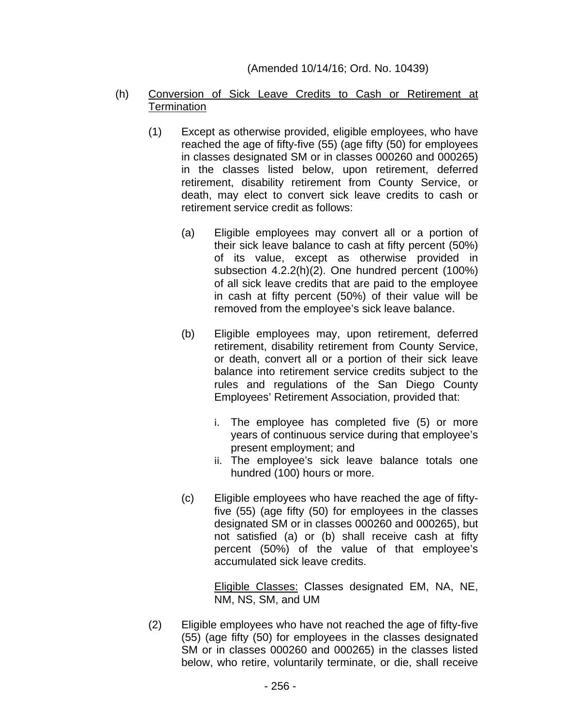### (Amended 10/14/16; Ord. No. 10439)

- (h) Conversion of Sick Leave Credits to Cash or Retirement at **Termination** 
	- (1) Except as otherwise provided, eligible employees, who have reached the age of fifty-five (55) (age fifty (50) for employees in classes designated SM or in classes 000260 and 000265) in the classes listed below, upon retirement, deferred retirement, disability retirement from County Service, or death, may elect to convert sick leave credits to cash or retirement service credit as follows:
		- (a) Eligible employees may convert all or a portion of their sick leave balance to cash at fifty percent (50%) of its value, except as otherwise provided in subsection 4.2.2(h)(2). One hundred percent (100%) of all sick leave credits that are paid to the employee in cash at fifty percent (50%) of their value will be removed from the employee's sick leave balance.
		- (b) Eligible employees may, upon retirement, deferred retirement, disability retirement from County Service, or death, convert all or a portion of their sick leave balance into retirement service credits subject to the rules and regulations of the San Diego County Employees' Retirement Association, provided that:
			- i. The employee has completed five (5) or more years of continuous service during that employee's present employment; and
			- ii. The employee's sick leave balance totals one hundred (100) hours or more.
		- (c) Eligible employees who have reached the age of fiftyfive (55) (age fifty (50) for employees in the classes designated SM or in classes 000260 and 000265), but not satisfied (a) or (b) shall receive cash at fifty percent (50%) of the value of that employee's accumulated sick leave credits.

Eligible Classes: Classes designated EM, NA, NE, NM, NS, SM, and UM

(2) Eligible employees who have not reached the age of fifty-five (55) (age fifty (50) for employees in the classes designated SM or in classes 000260 and 000265) in the classes listed below, who retire, voluntarily terminate, or die, shall receive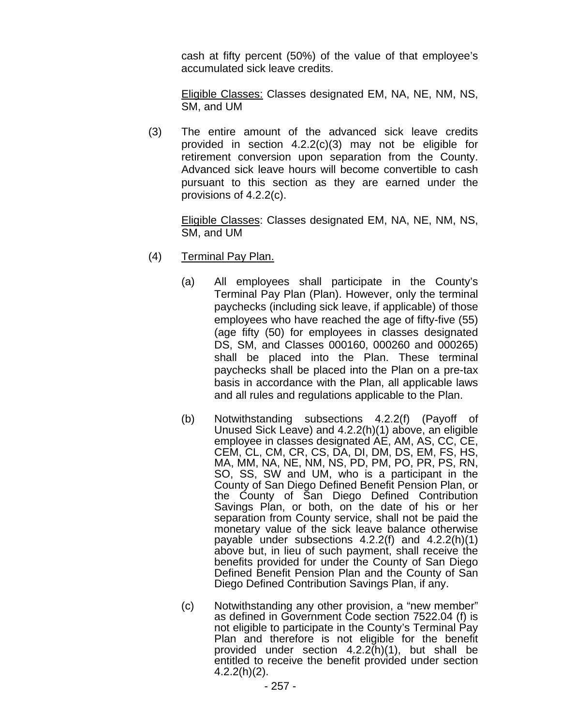cash at fifty percent (50%) of the value of that employee's accumulated sick leave credits.

Eligible Classes: Classes designated EM, NA, NE, NM, NS, SM, and UM

(3) The entire amount of the advanced sick leave credits provided in section 4.2.2(c)(3) may not be eligible for retirement conversion upon separation from the County. Advanced sick leave hours will become convertible to cash pursuant to this section as they are earned under the provisions of 4.2.2(c).

Eligible Classes: Classes designated EM, NA, NE, NM, NS, SM, and UM

- (4) Terminal Pay Plan.
	- (a) All employees shall participate in the County's Terminal Pay Plan (Plan). However, only the terminal paychecks (including sick leave, if applicable) of those employees who have reached the age of fifty-five (55) (age fifty (50) for employees in classes designated DS, SM, and Classes 000160, 000260 and 000265) shall be placed into the Plan. These terminal paychecks shall be placed into the Plan on a pre-tax basis in accordance with the Plan, all applicable laws and all rules and regulations applicable to the Plan.
	- (b) Notwithstanding subsections 4.2.2(f) (Payoff of Unused Sick Leave) and 4.2.2(h)(1) above, an eligible employee in classes designated AE, AM, AS, CC, CE, CEM, CL, CM, CR, CS, DA, DI, DM, DS, EM, FS, HS, MA, MM, NA, NE, NM, NS, PD, PM, PO, PR, PS, RN, SO, SS, SW and UM, who is a participant in the County of San Diego Defined Benefit Pension Plan, or the County of San Diego Defined Contribution Savings Plan, or both, on the date of his or her separation from County service, shall not be paid the monetary value of the sick leave balance otherwise payable under subsections 4.2.2(f) and 4.2.2(h)(1) above but, in lieu of such payment, shall receive the benefits provided for under the County of San Diego Defined Benefit Pension Plan and the County of San Diego Defined Contribution Savings Plan, if any.
	- (c) Notwithstanding any other provision, a "new member" as defined in Government Code section 7522.04 (f) is not eligible to participate in the County's Terminal Pay Plan and therefore is not eligible for the benefit provided under section 4.2.2(h)(1), but shall be entitled to receive the benefit provided under section 4.2.2(h)(2).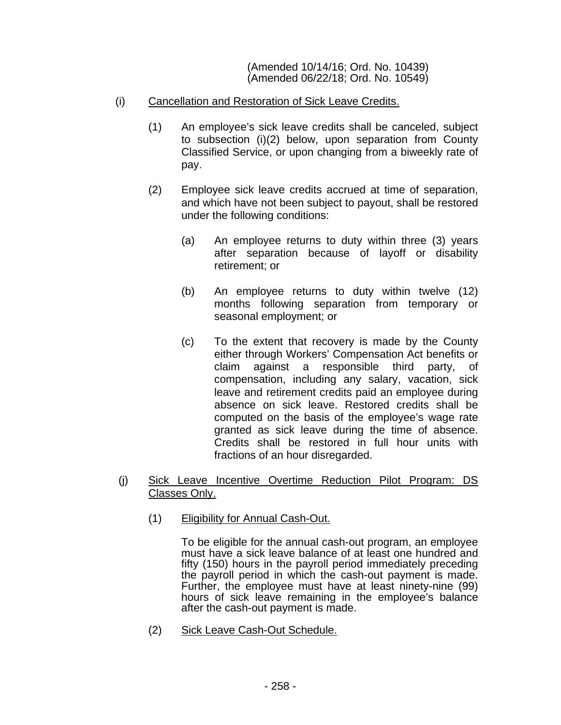(Amended 10/14/16; Ord. No. 10439) (Amended 06/22/18; Ord. No. 10549)

- (i) Cancellation and Restoration of Sick Leave Credits.
	- (1) An employee's sick leave credits shall be canceled, subject to subsection (i)(2) below, upon separation from County Classified Service, or upon changing from a biweekly rate of pay.
	- (2) Employee sick leave credits accrued at time of separation, and which have not been subject to payout, shall be restored under the following conditions:
		- (a) An employee returns to duty within three (3) years after separation because of layoff or disability retirement; or
		- (b) An employee returns to duty within twelve (12) months following separation from temporary or seasonal employment; or
		- (c) To the extent that recovery is made by the County either through Workers' Compensation Act benefits or claim against a responsible third party, of compensation, including any salary, vacation, sick leave and retirement credits paid an employee during absence on sick leave. Restored credits shall be computed on the basis of the employee's wage rate granted as sick leave during the time of absence. Credits shall be restored in full hour units with fractions of an hour disregarded.

## (j) Sick Leave Incentive Overtime Reduction Pilot Program: DS Classes Only.

(1) Eligibility for Annual Cash-Out.

To be eligible for the annual cash-out program, an employee must have a sick leave balance of at least one hundred and fifty (150) hours in the payroll period immediately preceding the payroll period in which the cash-out payment is made. Further, the employee must have at least ninety-nine (99) hours of sick leave remaining in the employee's balance after the cash-out payment is made.

(2) Sick Leave Cash-Out Schedule.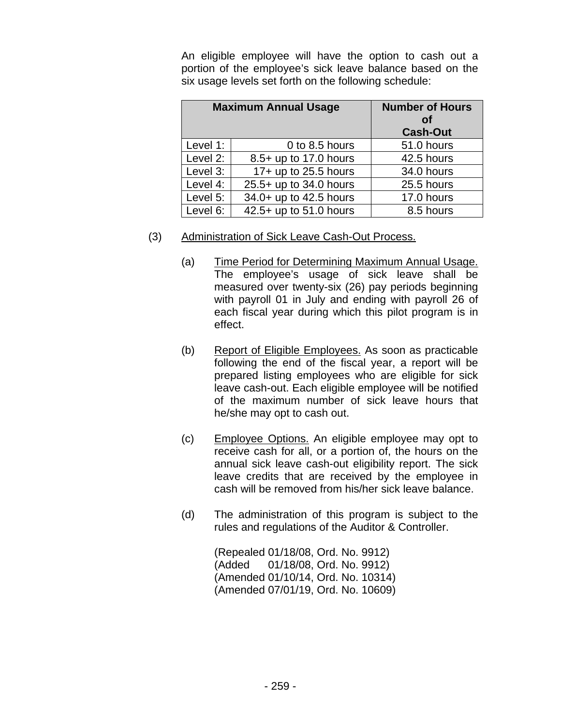An eligible employee will have the option to cash out a portion of the employee's sick leave balance based on the six usage levels set forth on the following schedule:

| <b>Maximum Annual Usage</b> |                        | <b>Number of Hours</b><br><b>of</b><br><b>Cash-Out</b> |
|-----------------------------|------------------------|--------------------------------------------------------|
| Level 1:                    | 0 to 8.5 hours         | 51.0 hours                                             |
| Level 2:                    | 8.5+ up to 17.0 hours  | 42.5 hours                                             |
| Level 3:                    | 17+ up to 25.5 hours   | 34.0 hours                                             |
| Level 4:                    | 25.5+ up to 34.0 hours | 25.5 hours                                             |
| Level 5:                    | 34.0+ up to 42.5 hours | 17.0 hours                                             |
| Level 6:                    | 42.5+ up to 51.0 hours | 8.5 hours                                              |

# (3) Administration of Sick Leave Cash-Out Process.

- (a) Time Period for Determining Maximum Annual Usage. The employee's usage of sick leave shall be measured over twenty-six (26) pay periods beginning with payroll 01 in July and ending with payroll 26 of each fiscal year during which this pilot program is in effect.
- (b) Report of Eligible Employees. As soon as practicable following the end of the fiscal year, a report will be prepared listing employees who are eligible for sick leave cash-out. Each eligible employee will be notified of the maximum number of sick leave hours that he/she may opt to cash out.
- (c) Employee Options. An eligible employee may opt to receive cash for all, or a portion of, the hours on the annual sick leave cash-out eligibility report. The sick leave credits that are received by the employee in cash will be removed from his/her sick leave balance.
- (d) The administration of this program is subject to the rules and regulations of the Auditor & Controller.

(Repealed 01/18/08, Ord. No. 9912) (Added 01/18/08, Ord. No. 9912) (Amended 01/10/14, Ord. No. 10314) (Amended 07/01/19, Ord. No. 10609)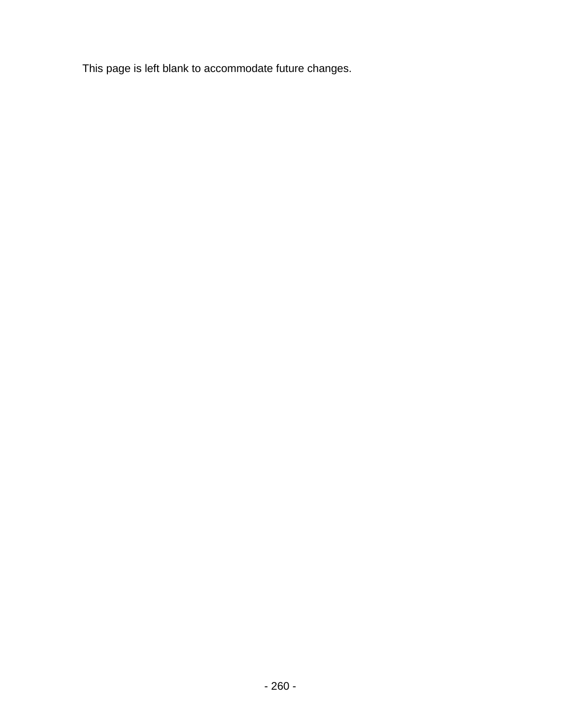This page is left blank to accommodate future changes.